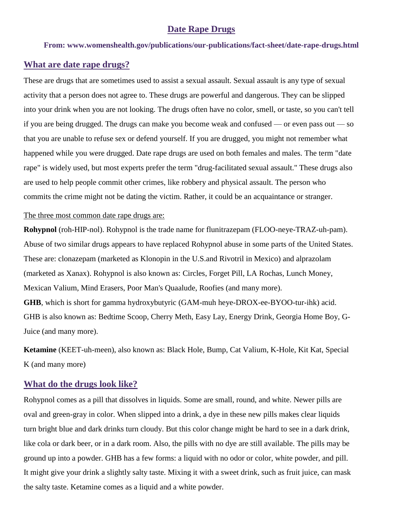### **Date Rape Drugs**

#### **From: www.womenshealth.gov/publications/our-publications/fact-sheet/date-rape-drugs.html**

### **What are date rape drugs?**

These are drugs that are sometimes used to assist a sexual assault. Sexual assault is any type of sexual activity that a person does not agree to. These drugs are powerful and dangerous. They can be slipped into your drink when you are not looking. The drugs often have no color, smell, or taste, so you can't tell if you are being drugged. The drugs can make you become weak and confused — or even pass out — so that you are unable to refuse sex or defend yourself. If you are drugged, you might not remember what happened while you were drugged. Date rape drugs are used on both females and males. The term "date rape" is widely used, but most experts prefer the term "drug-facilitated sexual assault." These drugs also are used to help people commit other crimes, like robbery and physical assault. The person who commits the crime might not be dating the victim. Rather, it could be an acquaintance or stranger.

#### The three most common date rape drugs are:

**Rohypnol** (roh-HIP-nol). Rohypnol is the trade name for flunitrazepam (FLOO-neye-TRAZ-uh-pam). Abuse of two similar drugs appears to have replaced Rohypnol abuse in some parts of the United States. These are: clonazepam (marketed as Klonopin in the U.S.and Rivotril in Mexico) and alprazolam (marketed as Xanax). Rohypnol is also known as: Circles, Forget Pill, LA Rochas, Lunch Money, Mexican Valium, Mind Erasers, Poor Man's Quaalude, Roofies (and many more). **GHB**, which is short for gamma hydroxybutyric (GAM-muh heye-DROX-ee-BYOO-tur-ihk) acid. GHB is also known as: Bedtime Scoop, Cherry Meth, Easy Lay, Energy Drink, Georgia Home Boy, G-Juice (and many more).

**Ketamine** (KEET-uh-meen), also known as: Black Hole, Bump, Cat Valium, K-Hole, Kit Kat, Special K (and many more)

## **What do the drugs look like?**

Rohypnol comes as a pill that dissolves in liquids. Some are small, round, and white. Newer pills are oval and green-gray in color. When slipped into a drink, a dye in these new pills makes clear liquids turn bright blue and dark drinks turn cloudy. But this color change might be hard to see in a dark drink, like cola or dark beer, or in a dark room. Also, the pills with no dye are still available. The pills may be ground up into a powder. GHB has a few forms: a liquid with no odor or color, white powder, and pill. It might give your drink a slightly salty taste. Mixing it with a sweet drink, such as fruit juice, can mask the salty taste. Ketamine comes as a liquid and a white powder.